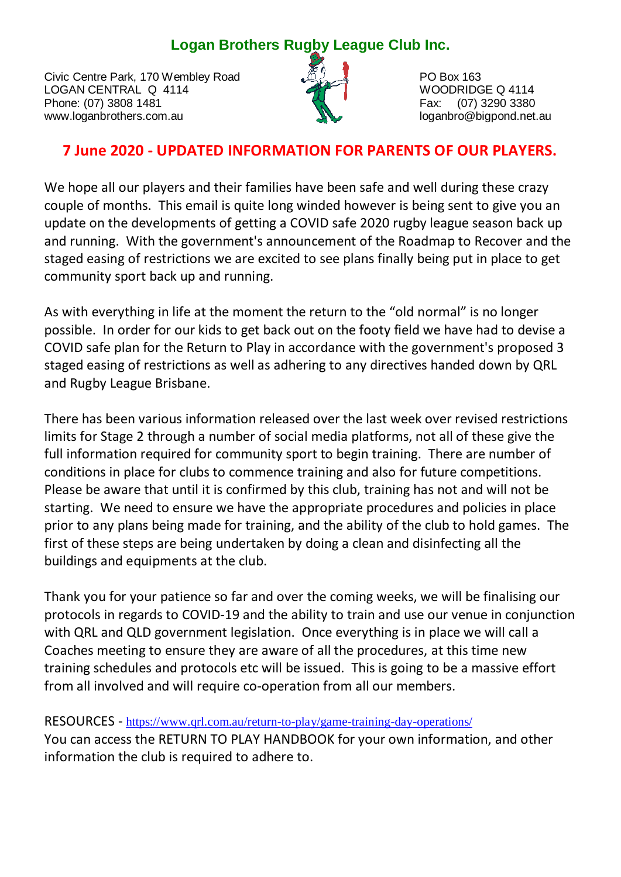## **Logan Brothers Rugby League Club Inc.**

Civic Centre Park, 170 Wembley Road PO Box 163<br>
LOGAN CENTRAL Q 4114 LOGAN CENTRAL Q 4114 WOODRIDGE Q 4114 Phone: (07) 3808 1481 www.loganbrothers.com.au loganbrothers.com.au loganbro@bigpond.net.au



## **7 June 2020 - UPDATED INFORMATION FOR PARENTS OF OUR PLAYERS.**

We hope all our players and their families have been safe and well during these crazy couple of months. This email is quite long winded however is being sent to give you an update on the developments of getting a COVID safe 2020 rugby league season back up and running. With the government's announcement of the Roadmap to Recover and the staged easing of restrictions we are excited to see plans finally being put in place to get community sport back up and running.

As with everything in life at the moment the return to the "old normal" is no longer possible. In order for our kids to get back out on the footy field we have had to devise a COVID safe plan for the Return to Play in accordance with the government's proposed 3 staged easing of restrictions as well as adhering to any directives handed down by QRL and Rugby League Brisbane.

There has been various information released over the last week over revised restrictions limits for Stage 2 through a number of social media platforms, not all of these give the full information required for community sport to begin training. There are number of conditions in place for clubs to commence training and also for future competitions. Please be aware that until it is confirmed by this club, training has not and will not be starting. We need to ensure we have the appropriate procedures and policies in place prior to any plans being made for training, and the ability of the club to hold games. The first of these steps are being undertaken by doing a clean and disinfecting all the buildings and equipments at the club.

Thank you for your patience so far and over the coming weeks, we will be finalising our protocols in regards to COVID-19 and the ability to train and use our venue in conjunction with QRL and QLD government legislation. Once everything is in place we will call a Coaches meeting to ensure they are aware of all the procedures, at this time new training schedules and protocols etc will be issued. This is going to be a massive effort from all involved and will require co-operation from all our members.

RESOURCES - <https://www.qrl.com.au/return-to-play/game-training-day-operations/> You can access the RETURN TO PLAY HANDBOOK for your own information, and other information the club is required to adhere to.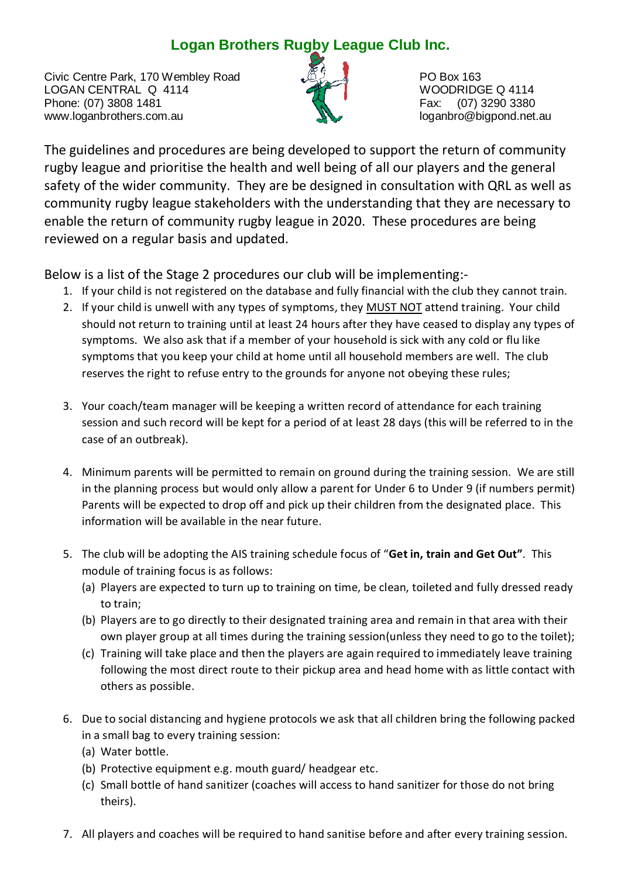## **Logan Brothers Rugby League Club Inc.**

Civic Centre Park, 170 Wembley Road PO Box 163<br>
LOGAN CENTRAL Q 4114 LOGAN CENTRAL Q 4114 WOODRIDGE Q 4114 Phone: (07) 3808 1481 www.loganbrothers.com.au loganbrothers.com.au loganbro@bigpond.net.au



The guidelines and procedures are being developed to support the return of community rugby league and prioritise the health and well being of all our players and the general safety of the wider community. They are be designed in consultation with QRL as well as community rugby league stakeholders with the understanding that they are necessary to enable the return of community rugby league in 2020. These procedures are being reviewed on a regular basis and updated.

Below is a list of the Stage 2 procedures our club will be implementing:-

- 1. If your child is not registered on the database and fully financial with the club they cannot train.
- 2. If your child is unwell with any types of symptoms, they MUST NOT attend training. Your child should not return to training until at least 24 hours after they have ceased to display any types of symptoms. We also ask that if a member of your household is sick with any cold or flu like symptoms that you keep your child at home until all household members are well. The club reserves the right to refuse entry to the grounds for anyone not obeying these rules;
- 3. Your coach/team manager will be keeping a written record of attendance for each training session and such record will be kept for a period of at least 28 days (this will be referred to in the case of an outbreak).
- 4. Minimum parents will be permitted to remain on ground during the training session. We are still in the planning process but would only allow a parent for Under 6 to Under 9 (if numbers permit) Parents will be expected to drop off and pick up their children from the designated place. This information will be available in the near future.
- 5. The club will be adopting the AIS training schedule focus of "**Get in, train and Get Out"**. This module of training focus is as follows:
	- (a) Players are expected to turn up to training on time, be clean, toileted and fully dressed ready to train;
	- (b) Players are to go directly to their designated training area and remain in that area with their own player group at all times during the training session(unless they need to go to the toilet);
	- (c) Training will take place and then the players are again required to immediately leave training following the most direct route to their pickup area and head home with as little contact with others as possible.
- 6. Due to social distancing and hygiene protocols we ask that all children bring the following packed in a small bag to every training session:
	- (a) Water bottle.
	- (b) Protective equipment e.g. mouth guard/ headgear etc.
	- (c) Small bottle of hand sanitizer (coaches will access to hand sanitizer for those do not bring theirs).
- 7. All players and coaches will be required to hand sanitise before and after every training session.